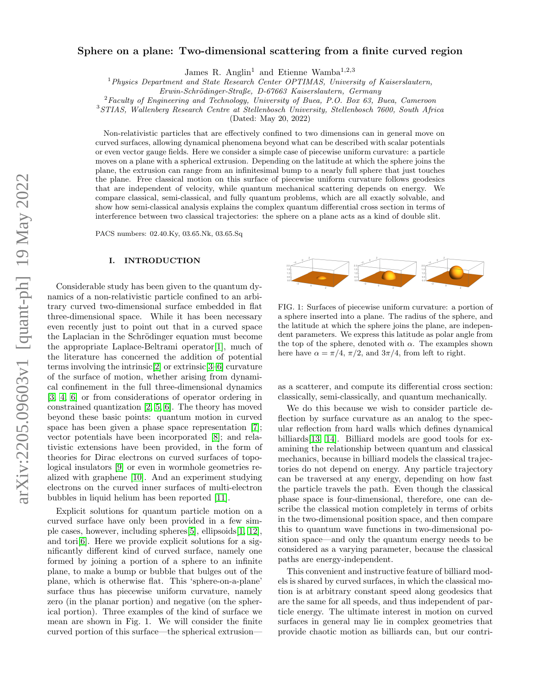# arXiv:2205.09603v1 [quant-ph] 19 May 2022 arXiv:2205.09603v1 [quant-ph] 19 May 2022

# Sphere on a plane: Two-dimensional scattering from a finite curved region

James R. Anglin<sup>1</sup> and Etienne Wamba<sup>1,2,3</sup>

<sup>1</sup> Physics Department and State Research Center OPTIMAS, University of Kaiserslautern,

 ${}^{2}$  Faculty of Engineering and Technology, University of Buea, P.O. Box 63, Buea, Cameroon

<sup>3</sup>STIAS, Wallenberg Research Centre at Stellenbosch University, Stellenbosch 7600, South Africa

(Dated: May 20, 2022)

Non-relativistic particles that are effectively confined to two dimensions can in general move on curved surfaces, allowing dynamical phenomena beyond what can be described with scalar potentials or even vector gauge fields. Here we consider a simple case of piecewise uniform curvature: a particle moves on a plane with a spherical extrusion. Depending on the latitude at which the sphere joins the plane, the extrusion can range from an infinitesimal bump to a nearly full sphere that just touches the plane. Free classical motion on this surface of piecewise uniform curvature follows geodesics that are independent of velocity, while quantum mechanical scattering depends on energy. We compare classical, semi-classical, and fully quantum problems, which are all exactly solvable, and show how semi-classical analysis explains the complex quantum differential cross section in terms of interference between two classical trajectories: the sphere on a plane acts as a kind of double slit.

PACS numbers: 02.40.Ky, 03.65.Nk, 03.65.Sq

# I. INTRODUCTION

Considerable study has been given to the quantum dynamics of a non-relativistic particle confined to an arbitrary curved two-dimensional surface embedded in flat three-dimensional space. While it has been necessary even recently just to point out that in a curved space the Laplacian in the Schrödinger equation must become the appropriate Laplace-Beltrami operator[\[1\]](#page-14-0), much of the literature has concerned the addition of potential terms involving the intrinsic[\[2\]](#page-14-1) or extrinsic[\[3–](#page-14-2)[6\]](#page-14-3) curvature of the surface of motion, whether arising from dynamical confinement in the full three-dimensional dynamics [\[3,](#page-14-2) [4,](#page-14-4) [6\]](#page-14-3) or from considerations of operator ordering in constrained quantization [\[2,](#page-14-1) [5,](#page-14-5) [6\]](#page-14-3). The theory has moved beyond these basic points: quantum motion in curved space has been given a phase space representation [\[7\]](#page-14-6); vector potentials have been incorporated [\[8\]](#page-14-7); and relativistic extensions have been provided, in the form of theories for Dirac electrons on curved surfaces of topological insulators [\[9\]](#page-14-8) or even in wormhole geometries realized with graphene [\[10\]](#page-14-9). And an experiment studying electrons on the curved inner surfaces of multi-electron bubbles in liquid helium has been reported [\[11\]](#page-14-10).

Explicit solutions for quantum particle motion on a curved surface have only been provided in a few simple cases, however, including spheres[\[5\]](#page-14-5), ellipsoids[\[1,](#page-14-0) [12\]](#page-14-11), and tori<sup>[\[6\]](#page-14-3)</sup>. Here we provide explicit solutions for a significantly different kind of curved surface, namely one formed by joining a portion of a sphere to an infinite plane, to make a bump or bubble that bulges out of the plane, which is otherwise flat. This 'sphere-on-a-plane' surface thus has piecewise uniform curvature, namely zero (in the planar portion) and negative (on the spherical portion). Three examples of the kind of surface we mean are shown in Fig. 1. We will consider the finite curved portion of this surface—the spherical extrusion—



FIG. 1: Surfaces of piecewise uniform curvature: a portion of a sphere inserted into a plane. The radius of the sphere, and the latitude at which the sphere joins the plane, are independent parameters. We express this latitude as polar angle from the top of the sphere, denoted with  $\alpha$ . The examples shown here have  $\alpha = \pi/4$ ,  $\pi/2$ , and  $3\pi/4$ , from left to right.

as a scatterer, and compute its differential cross section: classically, semi-classically, and quantum mechanically.

We do this because we wish to consider particle deflection by surface curvature as an analog to the specular reflection from hard walls which defines dynamical billiards[\[13,](#page-14-12) [14\]](#page-15-0). Billiard models are good tools for examining the relationship between quantum and classical mechanics, because in billiard models the classical trajectories do not depend on energy. Any particle trajectory can be traversed at any energy, depending on how fast the particle travels the path. Even though the classical phase space is four-dimensional, therefore, one can describe the classical motion completely in terms of orbits in the two-dimensional position space, and then compare this to quantum wave functions in two-dimensional position space—and only the quantum energy needs to be considered as a varying parameter, because the classical paths are energy-independent.

This convenient and instructive feature of billiard models is shared by curved surfaces, in which the classical motion is at arbitrary constant speed along geodesics that are the same for all speeds, and thus independent of particle energy. The ultimate interest in motion on curved surfaces in general may lie in complex geometries that provide chaotic motion as billiards can, but our contri-

Erwin-Schrödinger-Straße, D-67663 Kaiserslautern, Germany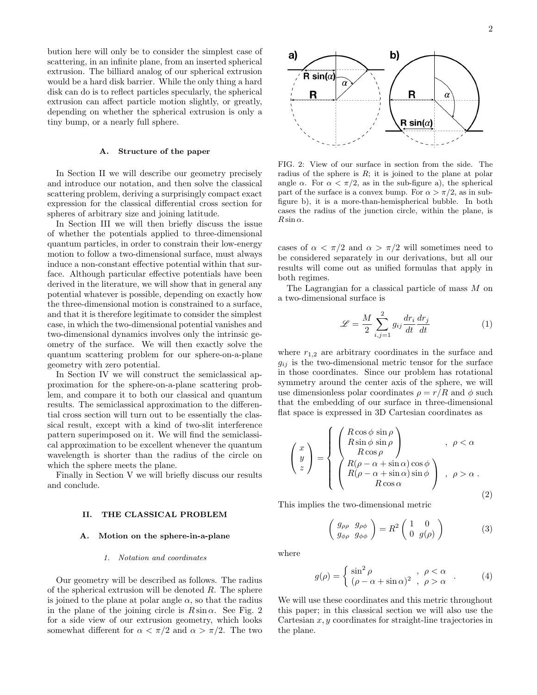bution here will only be to consider the simplest case of scattering, in an infinite plane, from an inserted spherical extrusion. The billiard analog of our spherical extrusion would be a hard disk barrier. While the only thing a hard disk can do is to reflect particles specularly, the spherical extrusion can affect particle motion slightly, or greatly, depending on whether the spherical extrusion is only a tiny bump, or a nearly full sphere.

### A. Structure of the paper

In Section II we will describe our geometry precisely and introduce our notation, and then solve the classical scattering problem, deriving a surprisingly compact exact expression for the classical differential cross section for spheres of arbitrary size and joining latitude.

In Section III we will then briefly discuss the issue of whether the potentials applied to three-dimensional quantum particles, in order to constrain their low-energy motion to follow a two-dimensional surface, must always induce a non-constant effective potential within that surface. Although particular effective potentials have been derived in the literature, we will show that in general any potential whatever is possible, depending on exactly how the three-dimensional motion is constrained to a surface, and that it is therefore legitimate to consider the simplest case, in which the two-dimensional potential vanishes and two-dimensional dynamics involves only the intrinsic geometry of the surface. We will then exactly solve the quantum scattering problem for our sphere-on-a-plane geometry with zero potential.

In Section IV we will construct the semiclassical approximation for the sphere-on-a-plane scattering problem, and compare it to both our classical and quantum results. The semiclassical approximation to the differential cross section will turn out to be essentially the classical result, except with a kind of two-slit interference pattern superimposed on it. We will find the semiclassical approximation to be excellent whenever the quantum wavelength is shorter than the radius of the circle on which the sphere meets the plane.

Finally in Section V we will briefly discuss our results and conclude.

# II. THE CLASSICAL PROBLEM

# A. Motion on the sphere-in-a-plane

### 1. Notation and coordinates

Our geometry will be described as follows. The radius of the spherical extrusion will be denoted  $R$ . The sphere is joined to the plane at polar angle  $\alpha$ , so that the radius in the plane of the joining circle is  $R \sin \alpha$ . See Fig. 2 for a side view of our extrusion geometry, which looks somewhat different for  $\alpha < \pi/2$  and  $\alpha > \pi/2$ . The two



FIG. 2: View of our surface in section from the side. The radius of the sphere is  $R$ ; it is joined to the plane at polar angle  $\alpha$ . For  $\alpha < \pi/2$ , as in the sub-figure a), the spherical part of the surface is a convex bump. For  $\alpha > \pi/2$ , as in subfigure b), it is a more-than-hemispherical bubble. In both cases the radius of the junction circle, within the plane, is  $R \sin \alpha$ .

cases of  $\alpha < \pi/2$  and  $\alpha > \pi/2$  will sometimes need to be considered separately in our derivations, but all our results will come out as unified formulas that apply in both regimes.

The Lagrangian for a classical particle of mass M on a two-dimensional surface is

<span id="page-1-0"></span>
$$
\mathcal{L} = \frac{M}{2} \sum_{i,j=1}^{2} g_{ij} \frac{dr_i}{dt} \frac{dr_j}{dt}
$$
 (1)

where  $r_{1,2}$  are arbitrary coordinates in the surface and  $g_{ij}$  is the two-dimensional metric tensor for the surface in those coordinates. Since our problem has rotational symmetry around the center axis of the sphere, we will use dimensionless polar coordinates  $\rho = r/R$  and  $\phi$  such that the embedding of our surface in three-dimensional flat space is expressed in 3D Cartesian coordinates as

<span id="page-1-1"></span>
$$
\begin{pmatrix} x \\ y \\ z \end{pmatrix} = \begin{cases} \begin{pmatrix} R\cos\phi\sin\rho \\ R\sin\phi\sin\rho \\ R\cos\rho \\ R(\rho - \alpha + \sin\alpha)\cos\phi \\ R(\rho - \alpha + \sin\alpha)\sin\phi \\ R\cos\alpha \end{pmatrix} , \ \rho < \alpha \\ 0, \ \rho > \alpha \end{cases} \tag{2}
$$

This implies the two-dimensional metric

<span id="page-1-2"></span>
$$
\begin{pmatrix} g_{\rho\rho} & g_{\rho\phi} \\ g_{\phi\rho} & g_{\phi\phi} \end{pmatrix} = R^2 \begin{pmatrix} 1 & 0 \\ 0 & g(\rho) \end{pmatrix}
$$
 (3)

where

<span id="page-1-3"></span>
$$
g(\rho) = \begin{cases} \sin^2 \rho & , \ \rho < \alpha \\ (\rho - \alpha + \sin \alpha)^2 & , \ \rho > \alpha \end{cases} . \tag{4}
$$

We will use these coordinates and this metric throughout this paper; in this classical section we will also use the Cartesian  $x, y$  coordinates for straight-line trajectories in the plane.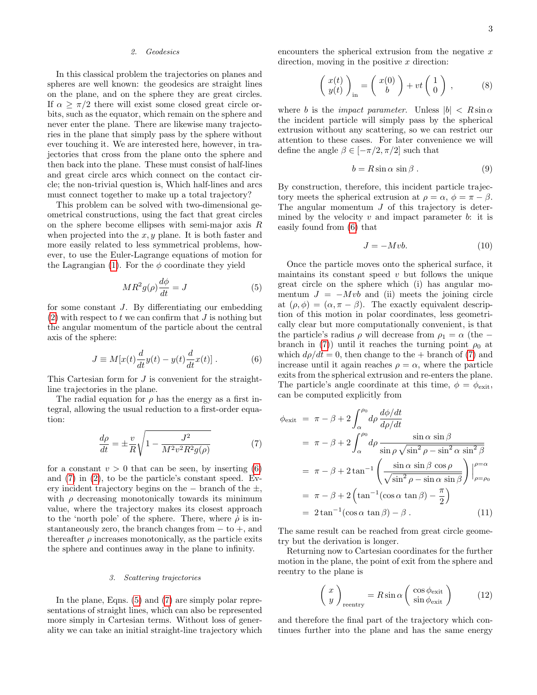### 2. Geodesics

In this classical problem the trajectories on planes and spheres are well known: the geodesics are straight lines on the plane, and on the sphere they are great circles. If  $\alpha \geq \pi/2$  there will exist some closed great circle orbits, such as the equator, which remain on the sphere and never enter the plane. There are likewise many trajectories in the plane that simply pass by the sphere without ever touching it. We are interested here, however, in trajectories that cross from the plane onto the sphere and then back into the plane. These must consist of half-lines and great circle arcs which connect on the contact circle; the non-trivial question is, Which half-lines and arcs must connect together to make up a total trajectory?

This problem can be solved with two-dimensional geometrical constructions, using the fact that great circles on the sphere become ellipses with semi-major axis R when projected into the  $x, y$  plane. It is both faster and more easily related to less symmetrical problems, however, to use the Euler-Lagrange equations of motion for the Lagrangian [\(1\)](#page-1-0). For the  $\phi$  coordinate they yield

<span id="page-2-2"></span>
$$
MR^2g(\rho)\frac{d\phi}{dt} = J\tag{5}
$$

for some constant J. By differentiating our embedding  $(2)$  with respect to t we can confirm that J is nothing but the angular momentum of the particle about the central axis of the sphere:

<span id="page-2-0"></span>
$$
J \equiv M[x(t)\frac{d}{dt}y(t) - y(t)\frac{d}{dt}x(t)].
$$
 (6)

This Cartesian form for J is convenient for the straightline trajectories in the plane.

The radial equation for  $\rho$  has the energy as a first integral, allowing the usual reduction to a first-order equation:

<span id="page-2-1"></span>
$$
\frac{d\rho}{dt} = \pm \frac{v}{R} \sqrt{1 - \frac{J^2}{M^2 v^2 R^2 g(\rho)}}\tag{7}
$$

for a constant  $v > 0$  that can be seen, by inserting [\(6\)](#page-2-0) and [\(7\)](#page-2-1) in [\(2\)](#page-1-1), to be the particle's constant speed. Every incident trajectory begins on the  $-$  branch of the  $\pm$ , with  $\rho$  decreasing monotonically towards its minimum value, where the trajectory makes its closest approach to the 'north pole' of the sphere. There, where  $\dot{\rho}$  is instantaneously zero, the branch changes from − to +, and thereafter  $\rho$  increases monotonically, as the particle exits the sphere and continues away in the plane to infinity.

### 3. Scattering trajectories

In the plane, Eqns. [\(5\)](#page-2-2) and [\(7\)](#page-2-1) are simply polar representations of straight lines, which can also be represented more simply in Cartesian terms. Without loss of generality we can take an initial straight-line trajectory which encounters the spherical extrusion from the negative  $x$ direction, moving in the positive  $x$  direction:

$$
\begin{pmatrix} x(t) \\ y(t) \end{pmatrix}_{\text{in}} = \begin{pmatrix} x(0) \\ b \end{pmatrix} + vt \begin{pmatrix} 1 \\ 0 \end{pmatrix} , \qquad (8)
$$

where b is the *impact parameter*. Unless  $|b| < R \sin \alpha$ the incident particle will simply pass by the spherical extrusion without any scattering, so we can restrict our attention to these cases. For later convenience we will define the angle  $\beta \in [-\pi/2, \pi/2]$  such that

$$
b = R\sin\alpha\,\sin\beta\,. \tag{9}
$$

By construction, therefore, this incident particle trajectory meets the spherical extrusion at  $\rho = \alpha$ ,  $\phi = \pi - \beta$ . The angular momentum  $J$  of this trajectory is determined by the velocity  $v$  and impact parameter  $b$ : it is easily found from [\(6\)](#page-2-0) that

$$
J = -Mvb.
$$
 (10)

Once the particle moves onto the spherical surface, it maintains its constant speed  $v$  but follows the unique great circle on the sphere which (i) has angular momentum  $J = -Mvb$  and (ii) meets the joining circle at  $(\rho, \phi) = (\alpha, \pi - \beta)$ . The exactly equivalent description of this motion in polar coordinates, less geometrically clear but more computationally convenient, is that the particle's radius  $\rho$  will decrease from  $\rho_1 = \alpha$  (the – branch in [\(7\)](#page-2-1)) until it reaches the turning point  $\rho_0$  at which  $d\rho/dt = 0$ , then change to the + branch of [\(7\)](#page-2-1) and increase until it again reaches  $\rho = \alpha$ , where the particle exits from the spherical extrusion and re-enters the plane. The particle's angle coordinate at this time,  $\phi = \phi_{\text{exit}}$ , can be computed explicitly from

$$
\phi_{\text{exit}} = \pi - \beta + 2 \int_{\alpha}^{\rho_0} d\rho \frac{d\phi/dt}{d\rho/dt}
$$
  
\n
$$
= \pi - \beta + 2 \int_{\alpha}^{\rho_0} d\rho \frac{\sin \alpha \sin \beta}{\sin \rho \sqrt{\sin^2 \rho - \sin^2 \alpha \sin^2 \beta}}
$$
  
\n
$$
= \pi - \beta + 2 \tan^{-1} \left( \frac{\sin \alpha \sin \beta \cos \rho}{\sqrt{\sin^2 \rho - \sin \alpha \sin \beta}} \right) \Big|_{\rho = \rho_0}^{\rho = \alpha}
$$
  
\n
$$
= \pi - \beta + 2 \left( \tan^{-1} (\cos \alpha \tan \beta) - \frac{\pi}{2} \right)
$$
  
\n
$$
= 2 \tan^{-1} (\cos \alpha \tan \beta) - \beta .
$$
 (11)

The same result can be reached from great circle geometry but the derivation is longer.

Returning now to Cartesian coordinates for the further motion in the plane, the point of exit from the sphere and reentry to the plane is

$$
\left(\begin{array}{c} x \\ y \end{array}\right)_{\text{reentry}} = R \sin \alpha \left(\begin{array}{c} \cos \phi_{\text{exit}} \\ \sin \phi_{\text{exit}} \end{array}\right) \tag{12}
$$

and therefore the final part of the trajectory which continues further into the plane and has the same energy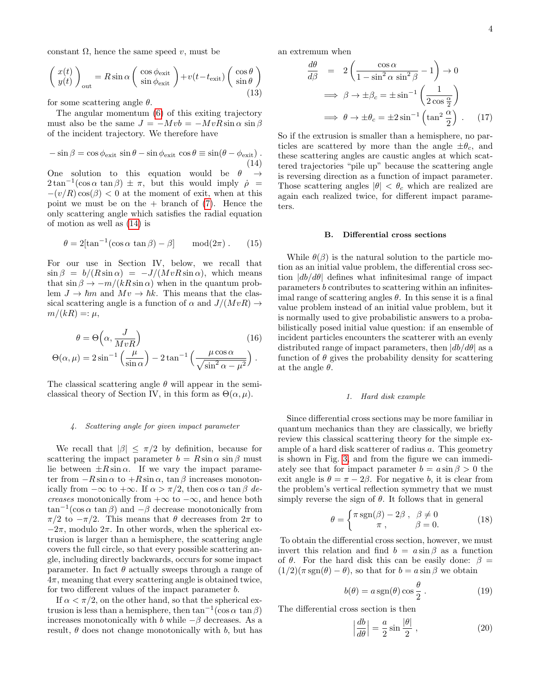constant  $\Omega$ , hence the same speed v, must be

$$
\begin{pmatrix} x(t) \\ y(t) \end{pmatrix}_{\text{out}} = R \sin \alpha \begin{pmatrix} \cos \phi_{\text{exit}} \\ \sin \phi_{\text{exit}} \end{pmatrix} + v(t - t_{\text{exit}}) \begin{pmatrix} \cos \theta \\ \sin \theta \end{pmatrix}
$$
(13)

for some scattering angle  $\theta$ .

The angular momentum [\(6\)](#page-2-0) of this exiting trajectory must also be the same  $J = -Mvb = -MvR\sin\alpha\sin\beta$ of the incident trajectory. We therefore have

<span id="page-3-0"></span>
$$
-\sin\beta = \cos\phi_{\text{exit}}\sin\theta - \sin\phi_{\text{exit}}\cos\theta \equiv \sin(\theta - \phi_{\text{exit}}).
$$
\n(14)

One solution to this equation would be  $\theta \rightarrow$  $2\tan^{-1}(\cos\alpha\tan\beta) \pm \pi$ , but this would imply  $\dot{\rho}$  =  $-(v/R)\cos(\beta) < 0$  at the moment of exit, when at this point we must be on the  $+$  branch of  $(7)$ . Hence the only scattering angle which satisfies the radial equation of motion as well as [\(14\)](#page-3-0) is

<span id="page-3-1"></span>
$$
\theta = 2[\tan^{-1}(\cos \alpha \tan \beta) - \beta] \quad \text{mod}(2\pi). \quad (15)
$$

For our use in Section IV, below, we recall that  $\sin \beta = b/(R \sin \alpha) = -J/(MvR \sin \alpha)$ , which means that  $\sin \beta \rightarrow -m/(kR \sin \alpha)$  when in the quantum problem  $J \to \hbar m$  and  $Mv \to \hbar k$ . This means that the classical scattering angle is a function of  $\alpha$  and  $J/(MvR) \rightarrow$  $m/(kR) =: \mu$ ,

$$
\theta = \Theta\left(\alpha, \frac{J}{MvR}\right)
$$
\n
$$
\Theta(\alpha, \mu) = 2\sin^{-1}\left(\frac{\mu}{\sin \alpha}\right) - 2\tan^{-1}\left(\frac{\mu\cos\alpha}{\sqrt{\sin^2\alpha - \mu^2}}\right).
$$
\n(16)

The classical scattering angle  $\theta$  will appear in the semiclassical theory of Section IV, in this form as  $\Theta(\alpha, \mu)$ .

### 4. Scattering angle for given impact parameter

We recall that  $|\beta| \leq \pi/2$  by definition, because for scattering the impact parameter  $b = R \sin \alpha \sin \beta$  must lie between  $\pm R \sin \alpha$ . If we vary the impact parameter from  $-R \sin \alpha$  to  $+R \sin \alpha$ ,  $\tan \beta$  increases monotonically from  $-\infty$  to  $+\infty$ . If  $\alpha > \pi/2$ , then  $\cos \alpha \tan \beta$  decreases monotonically from  $+\infty$  to  $-\infty$ , and hence both  $\tan^{-1}(\cos \alpha \tan \beta)$  and  $-\beta$  decrease monotonically from  $\pi/2$  to  $-\pi/2$ . This means that  $\theta$  decreases from  $2\pi$  to  $-2\pi$ , modulo  $2\pi$ . In other words, when the spherical extrusion is larger than a hemisphere, the scattering angle covers the full circle, so that every possible scattering angle, including directly backwards, occurs for some impact parameter. In fact  $\theta$  actually sweeps through a range of  $4\pi$ , meaning that every scattering angle is obtained twice, for two different values of the impact parameter b.

If  $\alpha < \pi/2$ , on the other hand, so that the spherical extrusion is less than a hemisphere, then  $\tan^{-1}(\cos \alpha \tan \beta)$ increases monotonically with b while  $-\beta$  decreases. As a result,  $\theta$  does not change monotonically with b, but has

an extremum when

$$
\frac{d\theta}{d\beta} = 2\left(\frac{\cos\alpha}{1-\sin^2\alpha\sin^2\beta} - 1\right) \to 0
$$
  

$$
\implies \beta \to \pm \beta_c = \pm \sin^{-1}\left(\frac{1}{2\cos\frac{\alpha}{2}}\right)
$$
  

$$
\implies \theta \to \pm \theta_c = \pm 2\sin^{-1}\left(\tan^2\frac{\alpha}{2}\right). \quad (17)
$$

So if the extrusion is smaller than a hemisphere, no particles are scattered by more than the angle  $\pm \theta_c$ , and these scattering angles are caustic angles at which scattered trajectories "pile up" because the scattering angle is reversing direction as a function of impact parameter. Those scattering angles  $|\theta| < \theta_c$  which are realized are again each realized twice, for different impact parameters.

# B. Differential cross sections

<span id="page-3-2"></span>While  $\theta(\beta)$  is the natural solution to the particle motion as an initial value problem, the differential cross section  $|db/d\theta|$  defines what infinitesimal range of impact parameters b contributes to scattering within an infinitesimal range of scattering angles  $\theta$ . In this sense it is a final value problem instead of an initial value problem, but it is normally used to give probabilistic answers to a probabilistically posed initial value question: if an ensemble of incident particles encounters the scatterer with an evenly distributed range of impact parameters, then  $|db/d\theta|$  as a function of  $\theta$  gives the probability density for scattering at the angle  $\theta$ .

# 1. Hard disk example

Since differential cross sections may be more familiar in quantum mechanics than they are classically, we briefly review this classical scattering theory for the simple example of a hard disk scatterer of radius a. This geometry is shown in Fig. [3,](#page-4-0) and from the figure we can immediately see that for impact parameter  $b = a \sin \beta > 0$  the exit angle is  $\theta = \pi - 2\beta$ . For negative b, it is clear from the problem's vertical reflection symmetry that we must simply reverse the sign of  $\theta$ . It follows that in general

$$
\theta = \begin{cases} \pi \operatorname{sgn}(\beta) - 2\beta , & \beta \neq 0 \\ \pi , & \beta = 0. \end{cases}
$$
 (18)

To obtain the differential cross section, however, we must invert this relation and find  $b = a \sin \beta$  as a function of  $\theta$ . For the hard disk this can be easily done:  $\beta =$  $(1/2)(\pi \operatorname{sgn}(\theta) - \theta)$ , so that for  $b = a \sin \beta$  we obtain

$$
b(\theta) = a \operatorname{sgn}(\theta) \cos \frac{\theta}{2} . \tag{19}
$$

The differential cross section is then

$$
\left|\frac{db}{d\theta}\right| = \frac{a}{2}\sin\frac{|\theta|}{2},\qquad(20)
$$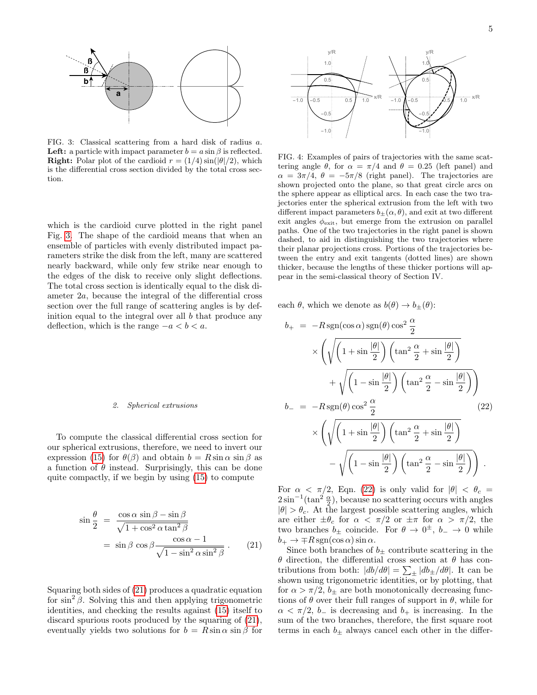

<span id="page-4-0"></span>FIG. 3: Classical scattering from a hard disk of radius a. **Left:** a particle with impact parameter  $b = a \sin \beta$  is reflected. **Right:** Polar plot of the cardioid  $r = (1/4) \sin(\frac{|\theta|}{2})$ , which is the differential cross section divided by the total cross section.

which is the cardioid curve plotted in the right panel Fig. [3.](#page-4-0) The shape of the cardioid means that when an ensemble of particles with evenly distributed impact parameters strike the disk from the left, many are scattered nearly backward, while only few strike near enough to the edges of the disk to receive only slight deflections. The total cross section is identically equal to the disk diameter 2a, because the integral of the differential cross section over the full range of scattering angles is by definition equal to the integral over all  $b$  that produce any deflection, which is the range  $-a < b < a$ .

### 2. Spherical extrusions

To compute the classical differential cross section for our spherical extrusions, therefore, we need to invert our expression [\(15\)](#page-3-1) for  $\theta(\beta)$  and obtain  $b = R \sin \alpha \sin \beta$  as a function of  $\theta$  instead. Surprisingly, this can be done quite compactly, if we begin by using [\(15\)](#page-3-1) to compute

<span id="page-4-1"></span>
$$
\sin\frac{\theta}{2} = \frac{\cos\alpha \sin\beta - \sin\beta}{\sqrt{1 + \cos^2\alpha \tan^2\beta}}
$$
  
= 
$$
\sin\beta \cos\beta \frac{\cos\alpha - 1}{\sqrt{1 - \sin^2\alpha \sin^2\beta}}
$$
. (21)

Squaring both sides of [\(21\)](#page-4-1) produces a quadratic equation for  $\sin^2 \beta$ . Solving this and then applying trigonometric identities, and checking the results against [\(15\)](#page-3-1) itself to discard spurious roots produced by the squaring of [\(21\)](#page-4-1), eventually yields two solutions for  $b = R \sin \alpha \sin \beta$  for



FIG. 4: Examples of pairs of trajectories with the same scattering angle  $\theta$ , for  $\alpha = \pi/4$  and  $\theta = 0.25$  (left panel) and  $\alpha = 3\pi/4$ ,  $\theta = -5\pi/8$  (right panel). The trajectories are shown projected onto the plane, so that great circle arcs on the sphere appear as elliptical arcs. In each case the two trajectories enter the spherical extrusion from the left with two different impact parameters  $b_{\pm}(\alpha, \theta)$ , and exit at two different exit angles  $\phi_{\text{exit}}$ , but emerge from the extrusion on parallel paths. One of the two trajectories in the right panel is shown dashed, to aid in distinguishing the two trajectories where their planar projections cross. Portions of the trajectories between the entry and exit tangents (dotted lines) are shown thicker, because the lengths of these thicker portions will appear in the semi-classical theory of Section IV.

each  $\theta$ , which we denote as  $b(\theta) \rightarrow b_{\pm}(\theta)$ :

<span id="page-4-2"></span>
$$
b_{+} = -R \operatorname{sgn}(\cos \alpha) \operatorname{sgn}(\theta) \cos^{2} \frac{\alpha}{2}
$$

$$
\times \left(\sqrt{\left(1 + \sin \frac{|\theta|}{2}\right) \left(\tan^{2} \frac{\alpha}{2} + \sin \frac{|\theta|}{2}\right)} + \sqrt{\left(1 - \sin \frac{|\theta|}{2}\right) \left(\tan^{2} \frac{\alpha}{2} - \sin \frac{|\theta|}{2}\right)}\right)
$$

$$
b_{-} = -R \operatorname{sgn}(\theta) \cos^{2} \frac{\alpha}{2} \qquad (22)
$$

$$
\times \left(\sqrt{\left(1 + \sin \frac{|\theta|}{2}\right) \left(\tan^{2} \frac{\alpha}{2} + \sin \frac{|\theta|}{2}\right)} - \sqrt{\left(1 - \sin \frac{|\theta|}{2}\right) \left(\tan^{2} \frac{\alpha}{2} - \sin \frac{|\theta|}{2}\right)}\right).
$$

For  $\alpha < \pi/2$ , Eqn. [\(22\)](#page-4-2) is only valid for  $|\theta| < \theta_c$  $2\sin^{-1}(\tan^2\frac{\alpha}{2})$ , because no scattering occurs with angles  $|\theta| > \theta_c$ . At the largest possible scattering angles, which are either  $\pm \theta_c$  for  $\alpha < \pi/2$  or  $\pm \pi$  for  $\alpha > \pi/2$ , the two branches  $b_{\pm}$  coincide. For  $\theta \to 0^{\pm}, b_{-} \to 0$  while  $b_+ \rightarrow \mp R \operatorname{sgn}(\cos \alpha) \sin \alpha.$ 

Since both branches of  $b_{\pm}$  contribute scattering in the θ direction, the differential cross section at θ has contributions from both:  $|db/d\theta| = \sum_{\pm} |db_{\pm}/d\theta|$ . It can be shown using trigonometric identities, or by plotting, that for  $\alpha > \pi/2$ ,  $b_{\pm}$  are both monotonically decreasing functions of  $\theta$  over their full ranges of support in  $\theta$ , while for  $\alpha < \pi/2$ ,  $b_{-}$  is decreasing and  $b_{+}$  is increasing. In the sum of the two branches, therefore, the first square root terms in each  $b_{\pm}$  always cancel each other in the differ-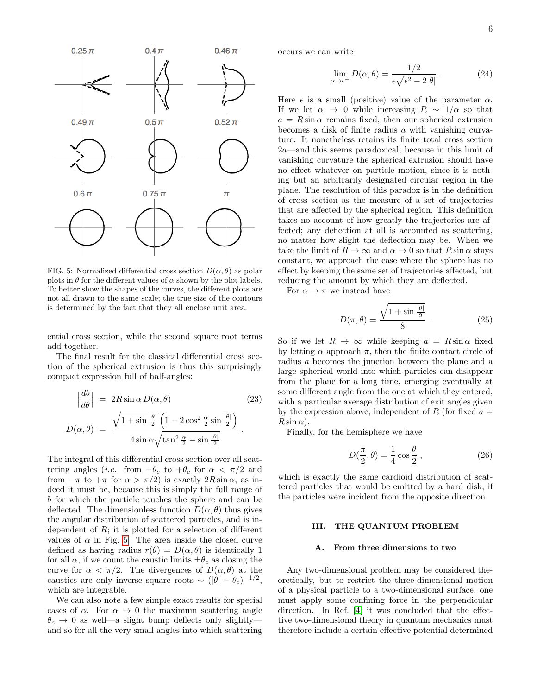

<span id="page-5-0"></span>FIG. 5: Normalized differential cross section  $D(\alpha, \theta)$  as polar plots in  $\theta$  for the different values of  $\alpha$  shown by the plot labels. To better show the shapes of the curves, the different plots are not all drawn to the same scale; the true size of the contours is determined by the fact that they all enclose unit area.

ential cross section, while the second square root terms add together.

The final result for the classical differential cross section of the spherical extrusion is thus this surprisingly compact expression full of half-angles:

<span id="page-5-1"></span>
$$
\left|\frac{db}{d\theta}\right| = 2R\sin\alpha D(\alpha, \theta)
$$
\n
$$
D(\alpha, \theta) = \frac{\sqrt{1 + \sin\frac{|\theta|}{2}} \left(1 - 2\cos^2\frac{\alpha}{2}\sin\frac{|\theta|}{2}\right)}{4\sin\alpha\sqrt{\tan^2\frac{\alpha}{2} - \sin\frac{|\theta|}{2}}}
$$
\n(23)

The integral of this differential cross section over all scattering angles (*i.e.* from  $-\theta_c$  to  $+\theta_c$  for  $\alpha < \pi/2$  and from  $-\pi$  to  $+\pi$  for  $\alpha > \pi/2$ ) is exactly  $2R\sin\alpha$ , as indeed it must be, because this is simply the full range of b for which the particle touches the sphere and can be deflected. The dimensionless function  $D(\alpha, \theta)$  thus gives the angular distribution of scattered particles, and is independent of  $R$ ; it is plotted for a selection of different values of  $\alpha$  in Fig. [5.](#page-5-0) The area inside the closed curve defined as having radius  $r(\theta) = D(\alpha, \theta)$  is identically 1 for all  $\alpha$ , if we count the caustic limits  $\pm \theta_c$  as closing the curve for  $\alpha < \pi/2$ . The divergences of  $D(\alpha, \theta)$  at the caustics are only inverse square roots  $\sim (|\theta| - \theta_c)^{-1/2}$ , which are integrable.

We can also note a few simple exact results for special cases of  $\alpha$ . For  $\alpha \to 0$  the maximum scattering angle  $\theta_c \rightarrow 0$  as well—a slight bump deflects only slightlyand so for all the very small angles into which scattering

occurs we can write

$$
\lim_{\alpha \to \epsilon^+} D(\alpha, \theta) = \frac{1/2}{\epsilon \sqrt{\epsilon^2 - 2|\theta|}}.
$$
 (24)

Here  $\epsilon$  is a small (positive) value of the parameter  $\alpha$ . If we let  $\alpha \to 0$  while increasing  $R \sim 1/\alpha$  so that  $a = R \sin \alpha$  remains fixed, then our spherical extrusion becomes a disk of finite radius a with vanishing curvature. It nonetheless retains its finite total cross section 2a—and this seems paradoxical, because in this limit of vanishing curvature the spherical extrusion should have no effect whatever on particle motion, since it is nothing but an arbitrarily designated circular region in the plane. The resolution of this paradox is in the definition of cross section as the measure of a set of trajectories that are affected by the spherical region. This definition takes no account of how greatly the trajectories are affected; any deflection at all is accounted as scattering, no matter how slight the deflection may be. When we take the limit of  $R \to \infty$  and  $\alpha \to 0$  so that  $R \sin \alpha$  stays constant, we approach the case where the sphere has no effect by keeping the same set of trajectories affected, but reducing the amount by which they are deflected.

For  $\alpha \to \pi$  we instead have

$$
D(\pi, \theta) = \frac{\sqrt{1 + \sin \frac{|\theta|}{2}}}{8} \,. \tag{25}
$$

So if we let  $R \to \infty$  while keeping  $a = R \sin \alpha$  fixed by letting  $\alpha$  approach  $\pi$ , then the finite contact circle of radius a becomes the junction between the plane and a large spherical world into which particles can disappear from the plane for a long time, emerging eventually at some different angle from the one at which they entered, with a particular average distribution of exit angles given by the expression above, independent of R (for fixed  $a =$  $R \sin \alpha$ ).

Finally, for the hemisphere we have

$$
D(\frac{\pi}{2}, \theta) = \frac{1}{4}\cos\frac{\theta}{2},\qquad(26)
$$

which is exactly the same cardioid distribution of scattered particles that would be emitted by a hard disk, if the particles were incident from the opposite direction.

# III. THE QUANTUM PROBLEM

### A. From three dimensions to two

Any two-dimensional problem may be considered theoretically, but to restrict the three-dimensional motion of a physical particle to a two-dimensional surface, one must apply some confining force in the perpendicular direction. In Ref. [\[4\]](#page-14-4) it was concluded that the effective two-dimensional theory in quantum mechanics must therefore include a certain effective potential determined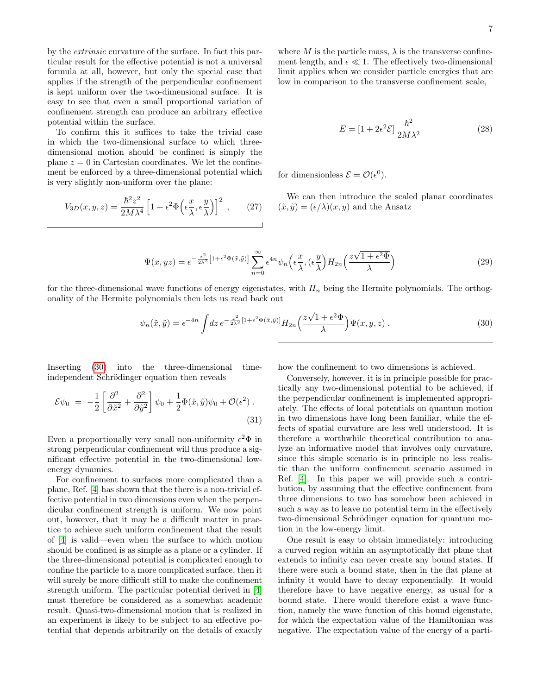by the extrinsic curvature of the surface. In fact this particular result for the effective potential is not a universal formula at all, however, but only the special case that applies if the strength of the perpendicular confinement is kept uniform over the two-dimensional surface. It is easy to see that even a small proportional variation of confinement strength can produce an arbitrary effective potential within the surface.

To confirm this it suffices to take the trivial case in which the two-dimensional surface to which threedimensional motion should be confined is simply the plane  $z = 0$  in Cartesian coordinates. We let the confinement be enforced by a three-dimensional potential which is very slightly non-uniform over the plane:

$$
V_{3D}(x,y,z) = \frac{\hbar^2 z^2}{2M\lambda^4} \left[ 1 + \epsilon^2 \Phi\left(\epsilon \frac{x}{\lambda}, \epsilon \frac{y}{\lambda}\right) \right]^2 ,\qquad(27)
$$

where M is the particle mass,  $\lambda$  is the transverse confinement length, and  $\epsilon \ll 1$ . The effectively two-dimensional limit applies when we consider particle energies that are low in comparison to the transverse confinement scale,

$$
E = [1 + 2\epsilon^2 \mathcal{E}] \frac{\hbar^2}{2M\lambda^2} \tag{28}
$$

for dimensionless  $\mathcal{E} = \mathcal{O}(\epsilon^0)$ .

We can then introduce the scaled planar coordinates  $(\tilde{x}, \tilde{y}) = (\epsilon/\lambda)(x, y)$  and the Ansatz

$$
\Psi(x,yz) = e^{-\frac{z^2}{2\lambda^2} \left[1+\epsilon^2\Phi(\tilde{x},\tilde{y})\right]} \sum_{n=0}^{\infty} \epsilon^{4n} \psi_n\left(\epsilon \frac{x}{\lambda}, (\epsilon \frac{y}{\lambda}) H_{2n}\left(\frac{z\sqrt{1+\epsilon^2\Phi}}{\lambda}\right)\right)
$$
(29)

for the three-dimensional wave functions of energy eigenstates, with  $H_n$  being the Hermite polynomials. The orthogonality of the Hermite polynomials then lets us read back out

<span id="page-6-0"></span>
$$
\psi_n(\tilde{x}, \tilde{y}) = \epsilon^{-4n} \int dz \, e^{-\frac{z^2}{2\lambda^2} [1 + \epsilon^2 \Phi(\tilde{x}, \tilde{y})]} H_{2n}\left(\frac{z\sqrt{1 + \epsilon^2 \Phi}}{\lambda}\right) \Psi(x, y, z) \,. \tag{30}
$$

Inserting [\(30\)](#page-6-0) into the three-dimensional timeindependent Schrödinger equation then reveals

$$
\mathcal{E}\psi_0 = -\frac{1}{2} \left[ \frac{\partial^2}{\partial \tilde{x}^2} + \frac{\partial^2}{\partial \tilde{y}^2} \right] \psi_0 + \frac{1}{2} \Phi(\tilde{x}, \tilde{y}) \psi_0 + \mathcal{O}(\epsilon^2) . \tag{31}
$$

Even a proportionally very small non-uniformity  $\epsilon^2 \Phi$  in strong perpendicular confinement will thus produce a significant effective potential in the two-dimensional lowenergy dynamics.

For confinement to surfaces more complicated than a plane, Ref. [\[4\]](#page-14-4) has shown that the there is a non-trivial effective potential in two dimensions even when the perpendicular confinement strength is uniform. We now point out, however, that it may be a difficult matter in practice to achieve such uniform confinement that the result of [\[4\]](#page-14-4) is valid—even when the surface to which motion should be confined is as simple as a plane or a cylinder. If the three-dimensional potential is complicated enough to confine the particle to a more complicated surface, then it will surely be more difficult still to make the confinement strength uniform. The particular potential derived in [\[4\]](#page-14-4) must therefore be considered as a somewhat academic result. Quasi-two-dimensional motion that is realized in an experiment is likely to be subject to an effective potential that depends arbitrarily on the details of exactly

how the confinement to two dimensions is achieved.

Conversely, however, it is in principle possible for practically any two-dimensional potential to be achieved, if the perpendicular confinement is implemented appropriately. The effects of local potentials on quantum motion in two dimensions have long been familiar, while the effects of spatial curvature are less well understood. It is therefore a worthwhile theoretical contribution to analyze an informative model that involves only curvature, since this simple scenario is in principle no less realistic than the uniform confinement scenario assumed in Ref. [\[4\]](#page-14-4). In this paper we will provide such a contribution, by assuming that the effective confinement from three dimensions to two has somehow been achieved in such a way as to leave no potential term in the effectively two-dimensional Schrödinger equation for quantum motion in the low-energy limit.

One result is easy to obtain immediately: introducing a curved region within an asymptotically flat plane that extends to infinity can never create any bound states. If there were such a bound state, then in the flat plane at infinity it would have to decay exponentially. It would therefore have to have negative energy, as usual for a bound state. There would therefore exist a wave function, namely the wave function of this bound eigenstate, for which the expectation value of the Hamiltonian was negative. The expectation value of the energy of a parti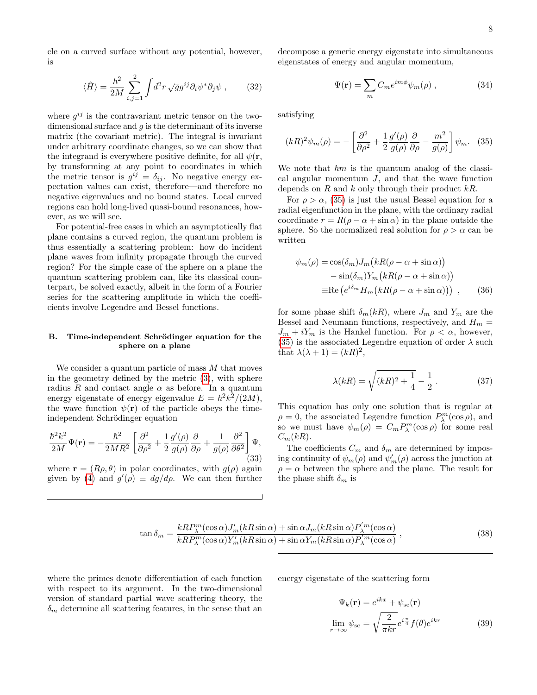cle on a curved surface without any potential, however, is

$$
\langle \hat{H} \rangle = \frac{\hbar^2}{2M} \sum_{i,j=1}^2 \int d^2r \sqrt{g} g^{ij} \partial_i \psi^* \partial_j \psi , \qquad (32)
$$

where  $g^{ij}$  is the contravariant metric tensor on the twodimensional surface and  $g$  is the determinant of its inverse matrix (the covariant metric). The integral is invariant under arbitrary coordinate changes, so we can show that the integrand is everywhere positive definite, for all  $\psi(\mathbf{r})$ , by transforming at any point to coordinates in which the metric tensor is  $g^{ij} = \delta_{ij}$ . No negative energy expectation values can exist, therefore—and therefore no negative eigenvalues and no bound states. Local curved regions can hold long-lived quasi-bound resonances, however, as we will see.

For potential-free cases in which an asymptotically flat plane contains a curved region, the quantum problem is thus essentially a scattering problem: how do incident plane waves from infinity propagate through the curved region? For the simple case of the sphere on a plane the quantum scattering problem can, like its classical counterpart, be solved exactly, albeit in the form of a Fourier series for the scattering amplitude in which the coefficients involve Legendre and Bessel functions.

# B. Time-independent Schrödinger equation for the sphere on a plane

We consider a quantum particle of mass M that moves in the geometry defined by the metric [\(3\)](#page-1-2), with sphere radius R and contact angle  $\alpha$  as before. In a quantum energy eigenstate of energy eigenvalue  $E = \hbar^2 k^2/(2M)$ , the wave function  $\psi(\mathbf{r})$  of the particle obeys the timeindependent Schrödinger equation

$$
\frac{\hbar^2 k^2}{2M} \Psi(\mathbf{r}) = -\frac{\hbar^2}{2MR^2} \left[ \frac{\partial^2}{\partial \rho^2} + \frac{1}{2} \frac{g'(\rho)}{g(\rho)} \frac{\partial}{\partial \rho} + \frac{1}{g(\rho)} \frac{\partial^2}{\partial \theta^2} \right] \Psi,
$$
\n(33)

where  $\mathbf{r} = (R\rho, \theta)$  in polar coordinates, with  $g(\rho)$  again given by [\(4\)](#page-1-3) and  $g'(\rho) \equiv dg/d\rho$ . We can then further

decompose a generic energy eigenstate into simultaneous eigenstates of energy and angular momentum,

$$
\Psi(\mathbf{r}) = \sum_{m} C_{m} e^{im\phi} \psi_{m}(\rho) , \qquad (34)
$$

satisfying

<span id="page-7-0"></span>
$$
(kR)^2 \psi_m(\rho) = -\left[\frac{\partial^2}{\partial \rho^2} + \frac{1}{2} \frac{g'(\rho)}{g(\rho)} \frac{\partial}{\partial \rho} - \frac{m^2}{g(\rho)}\right] \psi_m. \quad (35)
$$

We note that  $\hbar m$  is the quantum analog of the classical angular momentum  $J$ , and that the wave function depends on  $R$  and  $k$  only through their product  $kR$ .

For  $\rho > \alpha$ , [\(35\)](#page-7-0) is just the usual Bessel equation for a radial eigenfunction in the plane, with the ordinary radial coordinate  $r = R(\rho - \alpha + \sin \alpha)$  in the plane outside the sphere. So the normalized real solution for  $\rho > \alpha$  can be written

$$
\psi_m(\rho) = \cos(\delta_m) J_m \left( kR(\rho - \alpha + \sin \alpha) \right)
$$

$$
- \sin(\delta_m) Y_m \left( kR(\rho - \alpha + \sin \alpha) \right)
$$

$$
\equiv \text{Re} \left( e^{i\delta_m} H_m \left( kR(\rho - \alpha + \sin \alpha) \right) \right) , \qquad (36)
$$

for some phase shift  $\delta_m(kR)$ , where  $J_m$  and  $Y_m$  are the Bessel and Neumann functions, respectively, and  $H_m =$  $J_m + iY_m$  is the Hankel function. For  $\rho < \alpha$ , however, [\(35\)](#page-7-0) is the associated Legendre equation of order  $\lambda$  such that  $\lambda(\lambda + 1) = (kR)^2$ ,

<span id="page-7-2"></span>
$$
\lambda(kR) = \sqrt{(kR)^2 + \frac{1}{4}} - \frac{1}{2} \,. \tag{37}
$$

This equation has only one solution that is regular at  $\rho = 0$ , the associated Legendre function  $P_{\lambda}^{m}(\cos \rho)$ , and so we must have  $\psi_m(\rho) = C_m P_\lambda^m(\cos \rho)$  for some real  $C_m(kR)$ .

The coefficients  $C_m$  and  $\delta_m$  are determined by imposing continuity of  $\psi_m(\rho)$  and  $\psi_m'(\rho)$  across the junction at  $\rho = \alpha$  between the sphere and the plane. The result for the phase shift  $\delta_m$  is

<span id="page-7-1"></span>
$$
\tan \delta_m = \frac{kRP_\lambda^m(\cos \alpha)J'_m(kR\sin \alpha) + \sin \alpha J_m(kR\sin \alpha)P'_\lambda^m(\cos \alpha)}{kRP_\lambda^m(\cos \alpha)Y'_m(kR\sin \alpha) + \sin \alpha Y_m(kR\sin \alpha)P'_\lambda^m(\cos \alpha)},
$$
\n(38)

where the primes denote differentiation of each function with respect to its argument. In the two-dimensional version of standard partial wave scattering theory, the  $\delta_m$  determine all scattering features, in the sense that an

energy eigenstate of the scattering form

$$
\Psi_k(\mathbf{r}) = e^{ikx} + \psi_{sc}(\mathbf{r})
$$
  

$$
\lim_{r \to \infty} \psi_{sc} = \sqrt{\frac{2}{\pi kr}} e^{i\frac{\pi}{4}} f(\theta) e^{ikr}
$$
 (39)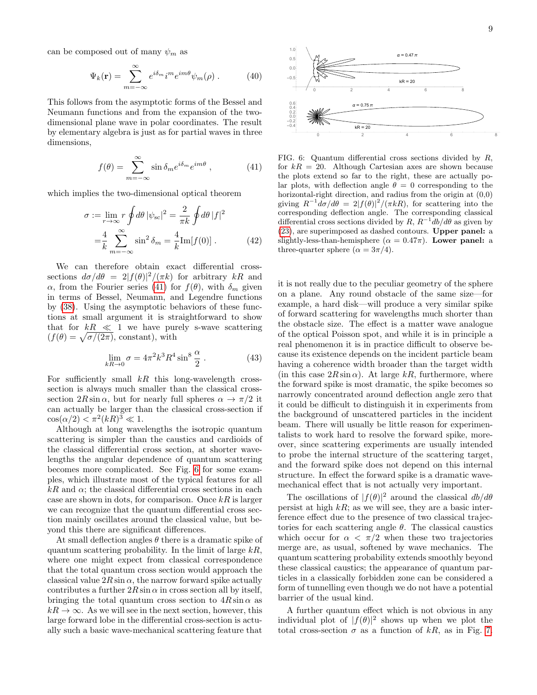can be composed out of many  $\psi_m$  as

$$
\Psi_k(\mathbf{r}) = \sum_{m=-\infty}^{\infty} e^{i\delta_m} i^m e^{im\theta} \psi_m(\rho) . \tag{40}
$$

This follows from the asymptotic forms of the Bessel and Neumann functions and from the expansion of the twodimensional plane wave in polar coordinates. The result by elementary algebra is just as for partial waves in three dimensions,

<span id="page-8-0"></span>
$$
f(\theta) = \sum_{m=-\infty}^{\infty} \sin \delta_m e^{i\delta_m} e^{im\theta}, \qquad (41)
$$

which implies the two-dimensional optical theorem

$$
\sigma := \lim_{r \to \infty} r \oint d\theta \, |\psi_{\rm sc}|^2 = \frac{2}{\pi k} \oint d\theta \, |f|^2
$$

$$
= \frac{4}{k} \sum_{m = -\infty}^{\infty} \sin^2 \delta_m = \frac{4}{k} \text{Im}[f(0)]. \tag{42}
$$

We can therefore obtain exact differential crosssections  $d\sigma/d\theta = 2|f(\theta)|^2/(\pi k)$  for arbitrary kR and α, from the Fourier series [\(41\)](#page-8-0) for  $f(θ)$ , with  $δ<sub>m</sub>$  given in terms of Bessel, Neumann, and Legendre functions by [\(38\)](#page-7-1). Using the asymptotic behaviors of these functions at small argument it is straightforward to show that for  $kR \ll 1$  we have purely s-wave scattering  $(f(\theta) = \sqrt{\sigma/(2\pi)}, \text{ constant}), \text{ with}$ 

$$
\lim_{kR \to 0} \sigma = 4\pi^2 k^3 R^4 \sin^8 \frac{\alpha}{2} . \tag{43}
$$

For sufficiently small  $kR$  this long-wavelength crosssection is always much smaller than the classical crosssection  $2R \sin \alpha$ , but for nearly full spheres  $\alpha \to \pi/2$  it can actually be larger than the classical cross-section if  $\cos(\alpha/2) < \pi^2(kR)^3 \ll 1.$ 

Although at long wavelengths the isotropic quantum scattering is simpler than the caustics and cardioids of the classical differential cross section, at shorter wavelengths the angular dependence of quantum scattering becomes more complicated. See Fig. [6](#page-8-1) for some examples, which illustrate most of the typical features for all  $kR$  and  $\alpha$ ; the classical differential cross sections in each case are shown in dots, for comparison. Once  $kR$  is larger we can recognize that the quantum differential cross section mainly oscillates around the classical value, but beyond this there are significant differences.

At small deflection angles  $\theta$  there is a dramatic spike of quantum scattering probability. In the limit of large  $kR$ , where one might expect from classical correspondence that the total quantum cross section would approach the classical value  $2R \sin \alpha$ , the narrow forward spike actually contributes a further  $2R \sin \alpha$  in cross section all by itself, bringing the total quantum cross section to  $4R\sin\alpha$  as  $k \to \infty$ . As we will see in the next section, however, this large forward lobe in the differential cross-section is actually such a basic wave-mechanical scattering feature that



<span id="page-8-1"></span>FIG. 6: Quantum differential cross sections divided by  $R$ , for  $kR = 20$ . Although Cartesian axes are shown because the plots extend so far to the right, these are actually polar plots, with deflection angle  $\theta = 0$  corresponding to the horizontal-right direction, and radius from the origin at  $(0,0)$ giving  $R^{-1}d\sigma/d\theta = 2|f(\theta)|^2/(\pi kR)$ , for scattering into the corresponding deflection angle. The corresponding classical differential cross sections divided by  $R, R^{-1}d\theta/d\theta$  as given by [\(23\)](#page-5-1), are superimposed as dashed contours. Upper panel: a slightly-less-than-hemisphere ( $\alpha = 0.47\pi$ ). Lower panel: a three-quarter sphere ( $\alpha = 3\pi/4$ ).

it is not really due to the peculiar geometry of the sphere on a plane. Any round obstacle of the same size—for example, a hard disk—will produce a very similar spike of forward scattering for wavelengths much shorter than the obstacle size. The effect is a matter wave analogue of the optical Poisson spot, and while it is in principle a real phenomenon it is in practice difficult to observe because its existence depends on the incident particle beam having a coherence width broader than the target width (in this case  $2R\sin\alpha$ ). At large kR, furthermore, where the forward spike is most dramatic, the spike becomes so narrowly concentrated around deflection angle zero that it could be difficult to distinguish it in experiments from the background of unscattered particles in the incident beam. There will usually be little reason for experimentalists to work hard to resolve the forward spike, moreover, since scattering experiments are usually intended to probe the internal structure of the scattering target, and the forward spike does not depend on this internal structure. In effect the forward spike is a dramatic wavemechanical effect that is not actually very important.

The oscillations of  $|f(\theta)|^2$  around the classical  $db/d\theta$ persist at high  $kR$ ; as we will see, they are a basic interference effect due to the presence of two classical trajectories for each scattering angle  $\theta$ . The classical caustics which occur for  $\alpha < \pi/2$  when these two trajectories merge are, as usual, softened by wave mechanics. The quantum scattering probability extends smoothly beyond these classical caustics; the appearance of quantum particles in a classically forbidden zone can be considered a form of tunnelling even though we do not have a potential barrier of the usual kind.

A further quantum effect which is not obvious in any individual plot of  $|f(\theta)|^2$  shows up when we plot the total cross-section  $\sigma$  as a function of kR, as in Fig. [7.](#page-9-0)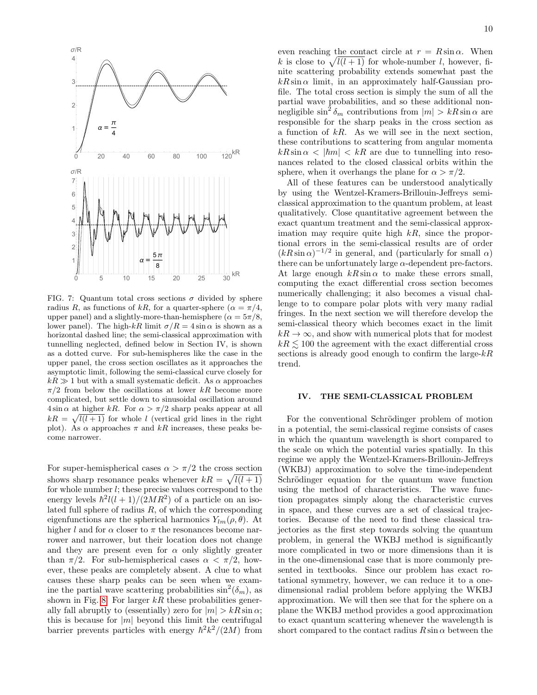

<span id="page-9-0"></span>FIG. 7: Quantum total cross sections  $\sigma$  divided by sphere radius R, as functions of kR, for a quarter-sphere ( $\alpha = \pi/4$ , upper panel) and a slightly-more-than-hemisphere ( $\alpha = 5\pi/8$ , lower panel). The high-kR limit  $\sigma/R = 4 \sin \alpha$  is shown as a horizontal dashed line; the semi-classical approximation with tunnelling neglected, defined below in Section IV, is shown as a dotted curve. For sub-hemispheres like the case in the upper panel, the cross section oscillates as it approaches the asymptotic limit, following the semi-classical curve closely for  $k \geq 1$  but with a small systematic deficit. As  $\alpha$  approaches  $\pi/2$  from below the oscillations at lower kR become more complicated, but settle down to sinusoidal oscillation around  $4 \sin \alpha$  at higher kR. For  $\alpha > \pi/2$  sharp peaks appear at all  $kR = \sqrt{l(l+1)}$  for whole l (vertical grid lines in the right plot). As  $\alpha$  approaches  $\pi$  and kR increases, these peaks become narrower.

For super-hemispherical cases  $\alpha > \pi/2$  the cross section shows sharp resonance peaks whenever  $kR = \sqrt{l(l+1)}$ for whole number l; these precise values correspond to the energy levels  $\hbar^2 l(l+1)/(2MR^2)$  of a particle on an isolated full sphere of radius  $R$ , of which the corresponding eigenfunctions are the spherical harmonics  $Y_{lm}(\rho, \theta)$ . At higher l and for  $\alpha$  closer to  $\pi$  the resonances become narrower and narrower, but their location does not change and they are present even for  $\alpha$  only slightly greater than  $\pi/2$ . For sub-hemispherical cases  $\alpha < \pi/2$ , however, these peaks are completely absent. A clue to what causes these sharp peaks can be seen when we examine the partial wave scattering probabilities  $\sin^2(\delta_m)$ , as shown in Fig. [8.](#page-10-0) For larger  $kR$  these probabilities generally fall abruptly to (essentially) zero for  $|m| > kR \sin \alpha$ ; this is because for  $|m|$  beyond this limit the centrifugal barrier prevents particles with energy  $\hbar^2 k^2/(2M)$  from

even reaching the contact circle at  $r = R \sin \alpha$ . When k is close to  $\sqrt{l(l+1)}$  for whole-number l, however, finite scattering probability extends somewhat past the  $kR \sin \alpha$  limit, in an approximately half-Gaussian profile. The total cross section is simply the sum of all the partial wave probabilities, and so these additional nonnegligible  $\sin^2 \delta_m$  contributions from  $|m| > kR \sin \alpha$  are responsible for the sharp peaks in the cross section as a function of  $kR$ . As we will see in the next section, these contributions to scattering from angular momenta  $kR\sin\alpha < |\hbar m| < kR$  are due to tunnelling into resonances related to the closed classical orbits within the sphere, when it overhangs the plane for  $\alpha > \pi/2$ .

All of these features can be understood analytically by using the Wentzel-Kramers-Brillouin-Jeffreys semiclassical approximation to the quantum problem, at least qualitatively. Close quantitative agreement between the exact quantum treatment and the semi-classical approximation may require quite high  $kR$ , since the proportional errors in the semi-classical results are of order  $(kR\sin\alpha)^{-1/2}$  in general, and (particularly for small  $\alpha$ ) there can be unfortunately large  $\alpha$ -dependent pre-factors. At large enough  $kR\sin\alpha$  to make these errors small, computing the exact differential cross section becomes numerically challenging; it also becomes a visual challenge to to compare polar plots with very many radial fringes. In the next section we will therefore develop the semi-classical theory which becomes exact in the limit  $k \to \infty$ , and show with numerical plots that for modest  $k \leq 100$  the agreement with the exact differential cross sections is already good enough to confirm the large- $kR$ trend.

# IV. THE SEMI-CLASSICAL PROBLEM

For the conventional Schrödinger problem of motion in a potential, the semi-classical regime consists of cases in which the quantum wavelength is short compared to the scale on which the potential varies spatially. In this regime we apply the Wentzel-Kramers-Brillouin-Jeffreys (WKBJ) approximation to solve the time-independent Schrödinger equation for the quantum wave function using the method of characteristics. The wave function propagates simply along the characteristic curves in space, and these curves are a set of classical trajectories. Because of the need to find these classical trajectories as the first step towards solving the quantum problem, in general the WKBJ method is significantly more complicated in two or more dimensions than it is in the one-dimensional case that is more commonly presented in textbooks. Since our problem has exact rotational symmetry, however, we can reduce it to a onedimensional radial problem before applying the WKBJ approximation. We will then see that for the sphere on a plane the WKBJ method provides a good approximation to exact quantum scattering whenever the wavelength is short compared to the contact radius  $R \sin \alpha$  between the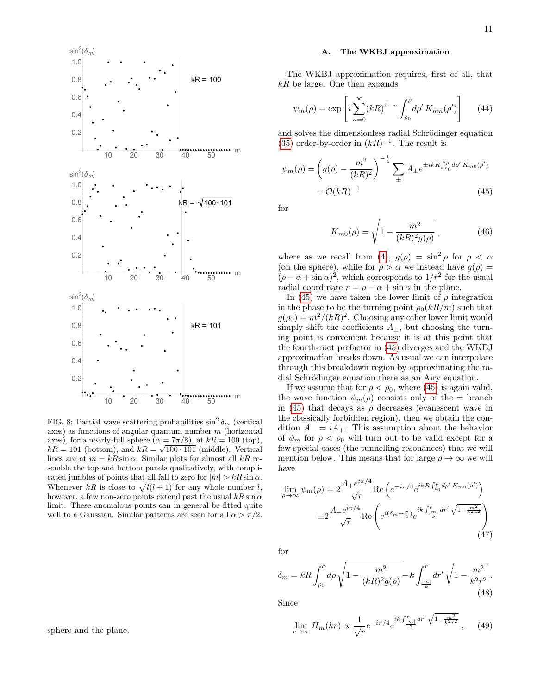

<span id="page-10-0"></span>FIG. 8: Partial wave scattering probabilities  $\sin^2 \delta_m$  (vertical axes) as functions of angular quantum number  $m$  (horizontal axes), for a nearly-full sphere  $(\alpha = 7\pi/8)$ , at  $kR = 100$  (top),  $kR = 101$  (bottom), and  $kR = \sqrt{100 \cdot 101}$  (middle). Vertical lines are at  $m = kR \sin \alpha$ . Similar plots for almost all kR resemble the top and bottom panels qualitatively, with complicated jumbles of points that all fall to zero for  $|m| > kR \sin \alpha$ . Whenever kR is close to  $\sqrt{l(l+1)}$  for any whole number l, however, a few non-zero points extend past the usual  $kR\sin\alpha$ limit. These anomalous points can in general be fitted quite well to a Gaussian. Similar patterns are seen for all  $\alpha > \pi/2$ .

The WKBJ approximation requires, first of all, that  $kR$  be large. One then expands

$$
\psi_m(\rho) = \exp\left[i\sum_{n=0}^{\infty} (kR)^{1-n} \int_{\rho_0}^{\rho} d\rho' K_{mn}(\rho')\right]
$$
(44)

and solves the dimensionless radial Schrödinger equation [\(35\)](#page-7-0) order-by-order in  $(kR)^{-1}$ . The result is

$$
\psi_m(\rho) = \left(g(\rho) - \frac{m^2}{(kR)^2}\right)^{-\frac{1}{4}} \sum_{\pm} A_{\pm} e^{\pm i kR \int_{\rho_0}^{\rho} d\rho' K_{m0}(\rho')}
$$

$$
+ \mathcal{O}(kR)^{-1}
$$
(45)

for

<span id="page-10-1"></span>
$$
K_{m0}(\rho) = \sqrt{1 - \frac{m^2}{(kR)^2 g(\rho)}},
$$
\n(46)

where as we recall from [\(4\)](#page-1-3),  $g(\rho) = \sin^2 \rho$  for  $\rho < \alpha$ (on the sphere), while for  $\rho > \alpha$  we instead have  $g(\rho) =$  $(\rho - \alpha + \sin \alpha)^2$ , which corresponds to  $1/r^2$  for the usual radial coordinate  $r = \rho - \alpha + \sin \alpha$  in the plane.

In [\(45\)](#page-10-1) we have taken the lower limit of  $\rho$  integration in the phase to be the turning point  $\rho_0(kR/m)$  such that  $g(\rho_0) = m^2/(kR)^2$ . Choosing any other lower limit would simply shift the coefficients  $A_{\pm}$ , but choosing the turning point is convenient because it is at this point that the fourth-root prefactor in [\(45\)](#page-10-1) diverges and the WKBJ approximation breaks down. As usual we can interpolate through this breakdown region by approximating the radial Schrödinger equation there as an Airy equation.

If we assume that for  $\rho < \rho_0$ , where [\(45\)](#page-10-1) is again valid, the wave function  $\psi_m(\rho)$  consists only of the  $\pm$  branch in [\(45\)](#page-10-1) that decays as  $\rho$  decreases (evanescent wave in the classically forbidden region), then we obtain the condition  $A_-=iA_+$ . This assumption about the behavior of  $\psi_m$  for  $\rho < \rho_0$  will turn out to be valid except for a few special cases (the tunnelling resonances) that we will mention below. This means that for large  $\rho \to \infty$  we will have

$$
\lim_{\rho \to \infty} \psi_m(\rho) = 2 \frac{A_+ e^{i\pi/4}}{\sqrt{r}} \text{Re}\left(e^{-i\pi/4} e^{ikR \int_{\rho_0}^{\rho} d\rho' K_{m0}(\rho')}\right)
$$

$$
\equiv 2 \frac{A_+ e^{i\pi/4}}{\sqrt{r}} \text{Re}\left(e^{i(\delta_m + \frac{\pi}{4})} e^{ik \int_{\frac{[m]}{k}}^{r} dr'} \sqrt{1 - \frac{m^2}{k^2 r^2}}\right)
$$
(47)

for

<span id="page-10-2"></span>
$$
\delta_m = kR \int_{\rho_0}^{\alpha} d\rho \sqrt{1 - \frac{m^2}{(kR)^2 g(\rho)}} - k \int_{\frac{|m|}{k}}^r dr' \sqrt{1 - \frac{m^2}{k^2 r^2}}.
$$
\n(48)

Since

$$
\lim_{r \to \infty} H_m(kr) \propto \frac{1}{\sqrt{r}} e^{-i\pi/4} e^{ik \int_{\frac{rm}{k}}^{r} dr'} \sqrt{1 - \frac{m^2}{k^2 r^2}} \,, \tag{49}
$$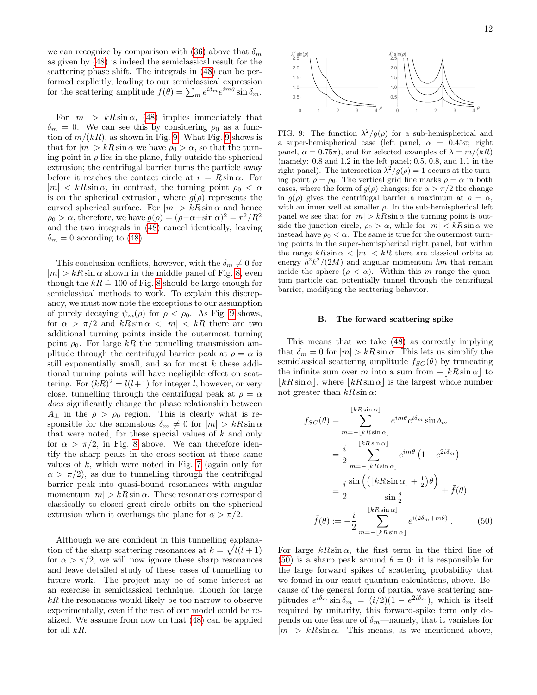we can recognize by comparison with [\(36\)](#page-7-2) above that  $\delta_m$ as given by [\(48\)](#page-10-2) is indeed the semiclassical result for the scattering phase shift. The integrals in [\(48\)](#page-10-2) can be performed explicitly, leading to our semiclassical expression for the scattering amplitude  $f(\theta) = \sum_m e^{i\delta_m} e^{im\theta} \sin \delta_m$ .

For  $|m| > kR \sin \alpha$ , [\(48\)](#page-10-2) implies immediately that  $\delta_m = 0$ . We can see this by considering  $\rho_0$  as a function of  $m/(kR)$ , as shown in Fig. [9.](#page-11-0) What Fig. [9](#page-11-0) shows is that for  $|m| > kR \sin \alpha$  we have  $\rho_0 > \alpha$ , so that the turning point in  $\rho$  lies in the plane, fully outside the spherical extrusion; the centrifugal barrier turns the particle away before it reaches the contact circle at  $r = R \sin \alpha$ . For  $|m| < kR \sin \alpha$ , in contrast, the turning point  $\rho_0 < \alpha$ is on the spherical extrusion, where  $g(\rho)$  represents the curved spherical surface. For  $|m| > kR \sin \alpha$  and hence  $\rho_0 > \alpha$ , therefore, we have  $g(\rho) = (\rho - \alpha + \sin \alpha)^2 = r^2/R^2$ and the two integrals in [\(48\)](#page-10-2) cancel identically, leaving  $\delta_m = 0$  according to [\(48\)](#page-10-2).

This conclusion conflicts, however, with the  $\delta_m \neq 0$  for  $|m| > kR \sin \alpha$  shown in the middle panel of Fig. [8,](#page-10-0) even though the  $kR = 100$  of Fig. [8](#page-10-0) should be large enough for semiclassical methods to work. To explain this discrepancy, we must now note the exceptions to our assumption of purely decaying  $\psi_m(\rho)$  for  $\rho < \rho_0$ . As Fig. [9](#page-11-0) shows, for  $\alpha > \pi/2$  and  $kR \sin \alpha < |m| < kR$  there are two additional turning points inside the outermost turning point  $\rho_0$ . For large kR the tunnelling transmission amplitude through the centrifugal barrier peak at  $\rho = \alpha$  is still exponentially small, and so for most k these additional turning points will have negligible effect on scattering. For  $(kR)^2 = l(l+1)$  for integer l, however, or very close, tunnelling through the centrifugal peak at  $\rho = \alpha$ does significantly change the phase relationship between  $A_{\pm}$  in the  $\rho > \rho_0$  region. This is clearly what is responsible for the anomalous  $\delta_m \neq 0$  for  $|m| > kR \sin \alpha$ that were noted, for these special values of  $k$  and only for  $\alpha > \pi/2$ , in Fig. [8](#page-10-0) above. We can therefore identify the sharp peaks in the cross section at these same values of  $k$ , which were noted in Fig. [7](#page-9-0) (again only for  $\alpha > \pi/2$ , as due to tunnelling through the centrifugal barrier peak into quasi-bound resonances with angular momentum  $|m| > kR \sin \alpha$ . These resonances correspond classically to closed great circle orbits on the spherical extrusion when it overhangs the plane for  $\alpha > \pi/2$ .

Although we are confident in this tunnelling explanation of the sharp scattering resonances at  $k = \sqrt{l(l+1)}$ for  $\alpha > \pi/2$ , we will now ignore these sharp resonances and leave detailed study of these cases of tunnelling to future work. The project may be of some interest as an exercise in semiclassical technique, though for large  $kR$  the resonances would likely be too narrow to observe experimentally, even if the rest of our model could be realized. We assume from now on that [\(48\)](#page-10-2) can be applied for all  $kR$ .



<span id="page-11-0"></span>FIG. 9: The function  $\lambda^2/g(\rho)$  for a sub-hemispherical and a super-hemispherical case (left panel,  $\alpha = 0.45\pi$ ; right panel,  $\alpha = 0.75\pi$ , and for selected examples of  $\lambda = m/(kR)$ (namely: 0.8 and 1.2 in the left panel; 0.5, 0.8, and 1.1 in the right panel). The intersection  $\lambda^2/g(\rho) = 1$  occurs at the turning point  $\rho = \rho_0$ . The vertical grid line marks  $\rho = \alpha$  in both cases, where the form of  $g(\rho)$  changes; for  $\alpha > \pi/2$  the change in  $g(\rho)$  gives the centrifugal barrier a maximum at  $\rho = \alpha$ , with an inner well at smaller  $\rho$ . In the sub-hemispherical left panel we see that for  $|m| > kR \sin \alpha$  the turning point is outside the junction circle,  $\rho_0 > \alpha$ , while for  $|m| < kR \sin \alpha$  we instead have  $\rho_0 < \alpha$ . The same is true for the outermost turning points in the super-hemispherical right panel, but within the range  $kR\sin\alpha$  < |m| < kR there are classical orbits at energy  $\hbar^2 k^2/(2M)$  and angular momentum  $\hbar m$  that remain inside the sphere  $(\rho < \alpha)$ . Within this m range the quantum particle can potentially tunnel through the centrifugal barrier, modifying the scattering behavior.

### B. The forward scattering spike

This means that we take [\(48\)](#page-10-2) as correctly implying that  $\delta_m = 0$  for  $|m| > kR \sin \alpha$ . This lets us simplify the semiclassical scattering amplitude  $f_{SC}(\theta)$  by truncating the infinite sum over m into a sum from  $-|kR\sin\alpha|$  to  $|kR\sin\alpha|$ , where  $|kR\sin\alpha|$  is the largest whole number not greater than  $kR \sin \alpha$ :

<span id="page-11-1"></span>
$$
f_{SC}(\theta) = \sum_{m=-\lfloor kR \sin \alpha \rfloor}^{\lfloor kR \sin \alpha \rfloor} e^{im\theta} e^{i\delta_m} \sin \delta_m
$$
  

$$
= \frac{i}{2} \sum_{m=-\lfloor kR \sin \alpha \rfloor}^{\lfloor kR \sin \alpha \rfloor} e^{im\theta} (1 - e^{2i\delta_m})
$$
  

$$
= \frac{i}{2} \frac{\sin \left( (\lfloor kR \sin \alpha \rfloor + \frac{1}{2})\theta \right)}{\sin \frac{\theta}{2}} + \tilde{f}(\theta)
$$
  

$$
\tilde{f}(\theta) := -\frac{i}{2} \sum_{m=-\lfloor kR \sin \alpha \rfloor}^{\lfloor kR \sin \alpha \rfloor} e^{i(2\delta_m + m\theta)} . \qquad (50)
$$

For large  $kR\sin\alpha$ , the first term in the third line of [\(50\)](#page-11-1) is a sharp peak around  $\theta = 0$ : it is responsible for the large forward spikes of scattering probability that we found in our exact quantum calculations, above. Because of the general form of partial wave scattering amplitudes  $e^{i\delta_m} \sin \delta_m = (i/2)(1 - e^{2i\delta_m})$ , which is itself required by unitarity, this forward-spike term only depends on one feature of  $\delta_m$ —namely, that it vanishes for  $|m| > kR \sin \alpha$ . This means, as we mentioned above,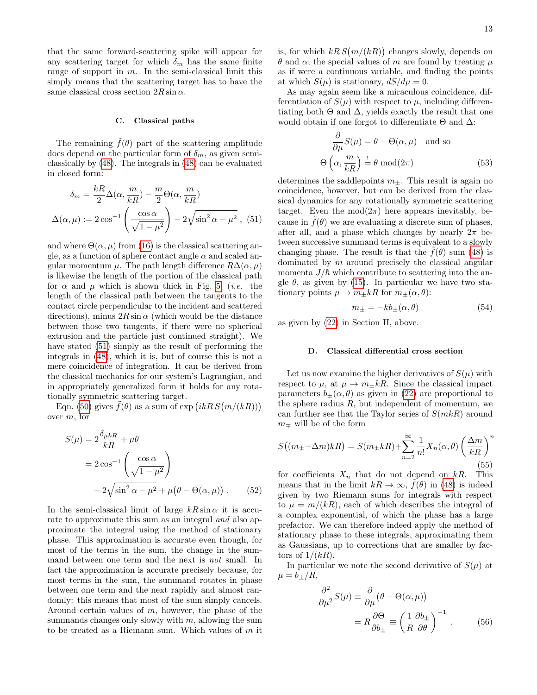that the same forward-scattering spike will appear for any scattering target for which  $\delta_m$  has the same finite range of support in  $m$ . In the semi-classical limit this simply means that the scattering target has to have the same classical cross section  $2R\sin\alpha$ .

# C. Classical paths

The remaining  $f(\theta)$  part of the scattering amplitude does depend on the particular form of  $\delta_m$ , as given semiclassically by [\(48\)](#page-10-2). The integrals in [\(48\)](#page-10-2) can be evaluated in closed form:

$$
\delta_m = \frac{kR}{2} \Delta(\alpha, \frac{m}{kR}) - \frac{m}{2} \Theta(\alpha, \frac{m}{kR})
$$

$$
\Delta(\alpha, \mu) := 2 \cos^{-1} \left( \frac{\cos \alpha}{\sqrt{1 - \mu^2}} \right) - 2\sqrt{\sin^2 \alpha - \mu^2}, (51)
$$

and where  $\Theta(\alpha,\mu)$  from [\(16\)](#page-3-2) is the classical scattering angle, as a function of sphere contact angle  $\alpha$  and scaled angular momentum  $\mu$ . The path length difference  $R\Delta(\alpha,\mu)$ is likewise the length of the portion of the classical path for  $\alpha$  and  $\mu$  which is shown thick in Fig. [5,](#page-5-0) *(i.e.* the length of the classical path between the tangents to the contact circle perpendicular to the incident and scattered directions), minus  $2R\sin\alpha$  (which would be the distance between those two tangents, if there were no spherical extrusion and the particle just continued straight). We have stated [\(51\)](#page-12-0) simply as the result of performing the integrals in [\(48\)](#page-10-2), which it is, but of course this is not a mere coincidence of integration. It can be derived from the classical mechanics for our system's Lagrangian, and in appropriately generalized form it holds for any rotationally symmetric scattering target.

Eqn. [\(50\)](#page-11-1) gives  $\tilde{f}(\theta)$  as a sum of exp  $(ikR S(m/(kR)))$ over m, for

$$
S(\mu) = 2 \frac{\delta_{\mu k R}}{kR} + \mu \theta
$$
  
=  $2 \cos^{-1} \left( \frac{\cos \alpha}{\sqrt{1 - \mu^2}} \right)$   
 $- 2 \sqrt{\sin^2 \alpha - \mu^2} + \mu (\theta - \Theta(\alpha, \mu)).$  (52)

In the semi-classical limit of large  $kR\sin\alpha$  it is accurate to approximate this sum as an integral *and* also approximate the integral using the method of stationary phase. This approximation is accurate even though, for most of the terms in the sum, the change in the summand between one term and the next is not small. In fact the approximation is accurate precisely because, for most terms in the sum, the summand rotates in phase between one term and the next rapidly and almost randomly: this means that most of the sum simply cancels. Around certain values of m, however, the phase of the summands changes only slowly with  $m$ , allowing the sum to be treated as a Riemann sum. Which values of  $m$  it

is, for which  $kR S(m/(kR))$  changes slowly, depends on  $θ$  and  $α$ ; the special values of m are found by treating  $μ$ as if were a continuous variable, and finding the points at which  $S(\mu)$  is stationary,  $dS/d\mu = 0$ .

As may again seem like a miraculous coincidence, differentiation of  $S(\mu)$  with respect to  $\mu$ , including differentiating both  $\Theta$  and  $\Delta$ , yields exactly the result that one would obtain if one forgot to differentiate  $\Theta$  and  $\Delta$ :

$$
\frac{\partial}{\partial \mu} S(\mu) = \theta - \Theta(\alpha, \mu) \text{ and so}
$$

$$
\Theta\left(\alpha, \frac{m}{kR}\right) \stackrel{!}{=} \theta \mod (2\pi) \tag{53}
$$

<span id="page-12-0"></span>determines the saddlepoints  $m_{\pm}$ . This result is again no coincidence, however, but can be derived from the classical dynamics for any rotationally symmetric scattering target. Even the  $mod(2\pi)$  here appears inevitably, because in  $\tilde{f}(\theta)$  we are evaluating a discrete sum of phases, after all, and a phase which changes by nearly  $2\pi$  between successive summand terms is equivalent to a slowly changing phase. The result is that the  $f(\theta)$  sum [\(48\)](#page-10-2) is dominated by m around precisely the classical angular momenta  $J/\hbar$  which contribute to scattering into the angle  $\theta$ , as given by [\(15\)](#page-3-1). In particular we have two stationary points  $\mu \to m_{\pm} kR$  for  $m_{\pm}(\alpha, \theta)$ :

$$
m_{\pm} = -kb_{\pm}(\alpha, \theta) \tag{54}
$$

as given by [\(22\)](#page-4-2) in Section II, above.

### D. Classical differential cross section

Let us now examine the higher derivatives of  $S(\mu)$  with respect to  $\mu$ , at  $\mu \to m_{\pm} kR$ . Since the classical impact parameters  $b_{\pm}(\alpha, \theta)$  as given in [\(22\)](#page-4-2) are proportional to the sphere radius  $R$ , but independent of momentum, we can further see that the Taylor series of  $S(mkR)$  around  $m<sub>π</sub>$  will be of the form

$$
S\big((m_{\pm}+\Delta m)kR\big) = S(m_{\pm}kR) + \sum_{n=2}^{\infty} \frac{1}{n!} X_n(\alpha, \theta) \left(\frac{\Delta m}{kR}\right)^n
$$
\n(55)

for coefficients  $X_n$  that do not depend on kR. This means that in the limit  $kR \to \infty$ ,  $\tilde{f}(\theta)$  in [\(48\)](#page-10-2) is indeed given by two Riemann sums for integrals with respect to  $\mu = m/(kR)$ , each of which describes the integral of a complex exponential, of which the phase has a large prefactor. We can therefore indeed apply the method of stationary phase to these integrals, approximating them as Gaussians, up to corrections that are smaller by factors of  $1/(kR)$ .

In particular we note the second derivative of  $S(\mu)$  at  $\mu = b_{+}/R$ ,

$$
\frac{\partial^2}{\partial \mu^2} S(\mu) \equiv \frac{\partial}{\partial \mu} (\theta - \Theta(\alpha, \mu))
$$

$$
= R \frac{\partial \Theta}{\partial b_{\pm}} \equiv \left(\frac{1}{R} \frac{\partial b_{\pm}}{\partial \theta}\right)^{-1} . \tag{56}
$$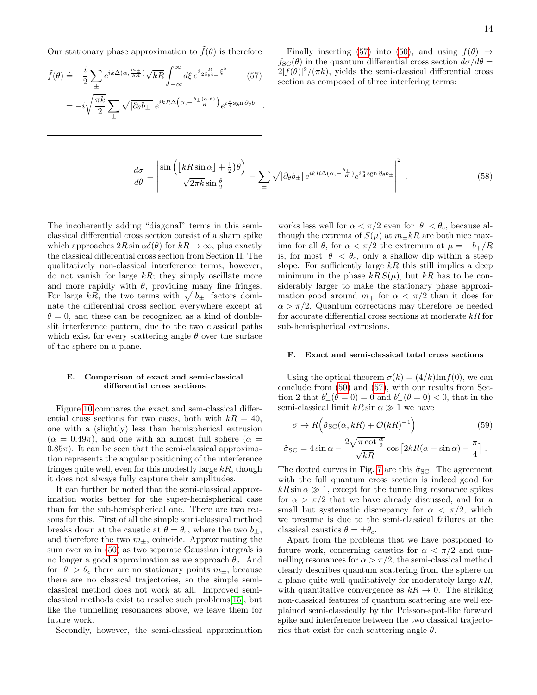Our stationary phase approximation to  $\tilde{f}(\theta)$  is therefore

$$
\tilde{f}(\theta) \doteq -\frac{i}{2} \sum_{\pm} e^{ik\Delta(\alpha, \frac{m_{\pm}}{kR})} \sqrt{kR} \int_{-\infty}^{\infty} d\xi \, e^{i\frac{R}{2\partial_{\theta}b_{\pm}}\xi^{2}} \qquad (57)
$$
\n
$$
= -i\sqrt{\frac{\pi k}{2}} \sum_{\pm} \sqrt{|\partial_{\theta}b_{\pm}|} \, e^{ikR\Delta\left(\alpha, -\frac{b_{\pm}(\alpha, \theta)}{R}\right)} e^{i\frac{\pi}{4}\text{sgn}\,\partial_{\theta}b_{\pm}}.
$$

<span id="page-13-0"></span>Finally inserting [\(57\)](#page-13-0) into [\(50\)](#page-11-1), and using  $f(\theta) \rightarrow$  $f_{\rm SC}(\theta)$  in the quantum differential cross section  $d\sigma/d\theta =$  $2|f(\theta)|^2/(\pi k)$ , yields the semi-classical differential cross section as composed of three interfering terms:

$$
\frac{d\sigma}{d\theta} = \left| \frac{\sin\left(\left[kR\sin\alpha\right] + \frac{1}{2}\right)\theta\right)}{\sqrt{2\pi k \sin\frac{\theta}{2}}} - \sum_{\pm} \sqrt{|\partial_{\theta}b_{\pm}|} e^{ikR\Delta(\alpha, -\frac{b_{\pm}}{R})} e^{i\frac{\pi}{4} \text{sgn}\,\partial_{\theta}b_{\pm}} \right|^2. \tag{58}
$$

The incoherently adding "diagonal" terms in this semiclassical differential cross section consist of a sharp spike which approaches  $2R \sin \alpha \delta(\theta)$  for  $kR \to \infty$ , plus exactly the classical differential cross section from Section II. The qualitatively non-classical interference terms, however, do not vanish for large  $kR$ ; they simply oscillate more and more rapidly with  $\theta$ , providing many fine fringes. For large kR, the two terms with  $\sqrt{|b_{\pm}|}$  factors dominate the differential cross section everywhere except at  $\theta = 0$ , and these can be recognized as a kind of doubleslit interference pattern, due to the two classical paths which exist for every scattering angle  $\theta$  over the surface of the sphere on a plane.

# E. Comparison of exact and semi-classical differential cross sections

Figure [10](#page-14-13) compares the exact and sem-classical differential cross sections for two cases, both with  $k = 40$ , one with a (slightly) less than hemispherical extrusion  $(\alpha = 0.49\pi)$ , and one with an almost full sphere  $(\alpha = 0.49\pi)$  $0.85\pi$ . It can be seen that the semi-classical approximation represents the angular positioning of the interference fringes quite well, even for this modestly large  $kR$ , though it does not always fully capture their amplitudes.

It can further be noted that the semi-classical approximation works better for the super-hemispherical case than for the sub-hemispherical one. There are two reasons for this. First of all the simple semi-classical method breaks down at the caustic at  $\theta = \theta_c$ , where the two  $b_{\pm}$ , and therefore the two  $m_{\pm}$ , coincide. Approximating the sum over  $m$  in [\(50\)](#page-11-1) as two separate Gaussian integrals is no longer a good approximation as we approach  $\theta_c$ . And for  $|\theta| > \theta_c$  there are no stationary points  $m_{\pm}$ , because there are no classical trajectories, so the simple semiclassical method does not work at all. Improved semiclassical methods exist to resolve such problems[\[15\]](#page-15-1), but like the tunnelling resonances above, we leave them for future work.

Secondly, however, the semi-classical approximation

works less well for  $\alpha < \pi/2$  even for  $|\theta| < \theta_c$ , because although the extrema of  $S(\mu)$  at  $m+kR$  are both nice maxima for all  $\theta$ , for  $\alpha < \pi/2$  the extremum at  $\mu = -b_{+}/R$ is, for most  $|\theta| < \theta_c$ , only a shallow dip within a steep slope. For sufficiently large  $kR$  this still implies a deep minimum in the phase  $kRS(\mu)$ , but  $kR$  has to be considerably larger to make the stationary phase approximation good around  $m_+$  for  $\alpha < \pi/2$  than it does for  $\alpha > \pi/2$ . Quantum corrections may therefore be needed for accurate differential cross sections at moderate  $kR$  for sub-hemispherical extrusions.

### F. Exact and semi-classical total cross sections

Using the optical theorem  $\sigma(k) = (4/k) \text{Im} f(0)$ , we can conclude from [\(50\)](#page-11-1) and [\(57\)](#page-13-0), with our results from Section 2 that  $b'_{+}(\dot{\theta} = 0) = 0$  and  $b'_{-}(\theta = 0) < 0$ , that in the semi-classical limit  $kR \sin \alpha \gg 1$  we have

$$
\sigma \to R\left(\tilde{\sigma}_{SC}(\alpha, kR) + \mathcal{O}(kR)^{-1}\right)
$$
\n
$$
2\sqrt{\pi \cot \frac{\alpha}{2}} \qquad \text{for } P(\alpha, \alpha) = \frac{\pi}{2}
$$
\n(59)

$$
\tilde{\sigma}_{\rm SC} = 4 \sin \alpha - \frac{2 \sqrt{\pi \cot \frac{\pi}{2}}}{\sqrt{kR}} \cos \left[2kR(\alpha - \sin \alpha) - \frac{\pi}{4}\right].
$$

The dotted curves in Fig. [7](#page-9-0) are this  $\tilde{\sigma}_{SC}$ . The agreement with the full quantum cross section is indeed good for  $kR\sin\alpha \gg 1$ , except for the tunnelling resonance spikes for  $\alpha > \pi/2$  that we have already discussed, and for a small but systematic discrepancy for  $\alpha < \pi/2$ , which we presume is due to the semi-classical failures at the classical caustics  $\theta = \pm \theta_c$ .

Apart from the problems that we have postponed to future work, concerning caustics for  $\alpha < \pi/2$  and tunnelling resonances for  $\alpha > \pi/2$ , the semi-classical method clearly describes quantum scattering from the sphere on a plane quite well qualitatively for moderately large  $kR$ , with quantitative convergence as  $kR \to 0$ . The striking non-classical features of quantum scattering are well explained semi-classically by the Poisson-spot-like forward spike and interference between the two classical trajectories that exist for each scattering angle  $\theta$ .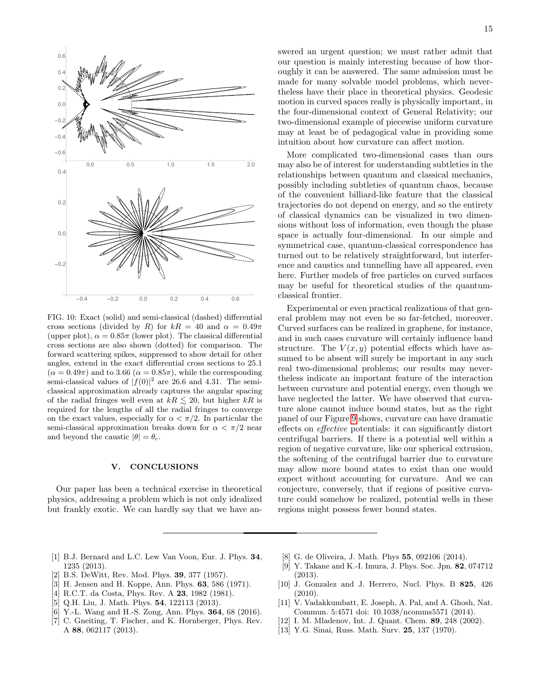

<span id="page-14-13"></span>FIG. 10: Exact (solid) and semi-classical (dashed) differential cross sections (divided by R) for  $kR = 40$  and  $\alpha = 0.49\pi$ (upper plot),  $\alpha = 0.85\pi$  (lower plot). The classical differential cross sections are also shown (dotted) for comparison. The forward scattering spikes, suppressed to show detail for other angles, extend in the exact differential cross sections to 25.1  $(\alpha = 0.49\pi)$  and to 3.66  $(\alpha = 0.85\pi)$ , while the corresponding semi-classical values of  $|f(0)|^2$  are 26.6 and 4.31. The semiclassical approximation already captures the angular spacing of the radial fringes well even at  $kR \lesssim 20$ , but higher  $kR$  is required for the lengths of all the radial fringes to converge on the exact values, especially for  $\alpha < \pi/2$ . In particular the semi-classical approximation breaks down for  $\alpha < \pi/2$  near and beyond the caustic  $|\theta| = \theta_c$ .

# V. CONCLUSIONS

Our paper has been a technical exercise in theoretical physics, addressing a problem which is not only idealized but frankly exotic. We can hardly say that we have answered an urgent question; we must rather admit that our question is mainly interesting because of how thoroughly it can be answered. The same admission must be made for many solvable model problems, which nevertheless have their place in theoretical physics. Geodesic motion in curved spaces really is physically important, in the four-dimensional context of General Relativity; our two-dimensional example of piecewise uniform curvature may at least be of pedagogical value in providing some intuition about how curvature can affect motion.

More complicated two-dimensional cases than ours may also be of interest for understanding subtleties in the relationships between quantum and classical mechanics, possibly including subtleties of quantum chaos, because of the convenient billiard-like feature that the classical trajectories do not depend on energy, and so the entirety of classical dynamics can be visualized in two dimensions without loss of information, even though the phase space is actually four-dimensional. In our simple and symmetrical case, quantum-classical correspondence has turned out to be relatively straightforward, but interference and caustics and tunnelling have all appeared, even here. Further models of free particles on curved surfaces may be useful for theoretical studies of the quantumclassical frontier.

Experimental or even practical realizations of that general problem may not even be so far-fetched, moreover. Curved surfaces can be realized in graphene, for instance, and in such cases curvature will certainly influence band structure. The  $V(x, y)$  potential effects which have assumed to be absent will surely be important in any such real two-dimensional problems; our results may nevertheless indicate an important feature of the interaction between curvature and potential energy, even though we have neglected the latter. We have observed that curvature alone cannot induce bound states, but as the right panel of our Figure [9](#page-11-0) shows, curvature can have dramatic effects on effective potentials: it can significantly distort centrifugal barriers. If there is a potential well within a region of negative curvature, like our spherical extrusion, the softening of the centrifugal barrier due to curvature may allow more bound states to exist than one would expect without accounting for curvature. And we can conjecture, conversely, that if regions of positive curvature could somehow be realized, potential wells in these regions might possess fewer bound states.

- <span id="page-14-0"></span>[1] B.J. Bernard and L.C. Lew Van Voon, Eur. J. Phys. 34, 1235 (2013).
- <span id="page-14-1"></span>[2] B.S. DeWitt, Rev. Mod. Phys. 39, 377 (1957).
- <span id="page-14-2"></span>[3] H. Jensen and H. Koppe, Ann. Phys. 63, 586 (1971).
- <span id="page-14-4"></span>[4] R.C.T. da Costa, Phys. Rev. A 23, 1982 (1981).
- <span id="page-14-5"></span>[5] Q.H. Liu, J. Math. Phys. 54, 122113 (2013).
- <span id="page-14-3"></span>[6] Y.-L. Wang and H.-S. Zong, Ann. Phys. 364, 68 (2016).
- <span id="page-14-6"></span>[7] C. Gneiting, T. Fischer, and K. Hornberger, Phys. Rev. A 88, 062117 (2013).
- <span id="page-14-7"></span>[8] G. de Oliveira, J. Math. Phys 55, 092106 (2014).
- <span id="page-14-8"></span>[9] Y. Takane and K.-I. Imura, J. Phys. Soc. Jpn. 82, 074712 (2013).
- <span id="page-14-9"></span>[10] J. Gonzalez and J. Herrero, Nucl. Phys. B 825, 426 (2010).
- <span id="page-14-10"></span>[11] V. Vadakkumbatt, E. Joseph, A. Pal, and A. Ghosh, Nat. Commun. 5:4571 doi: 10.1038/ncomms5571 (2014).
- <span id="page-14-11"></span>[12] I. M. Mladenov, Int. J. Quant. Chem. 89, 248 (2002).
- <span id="page-14-12"></span>[13] Y.G. Sinai, Russ. Math. Surv. 25, 137 (1970).